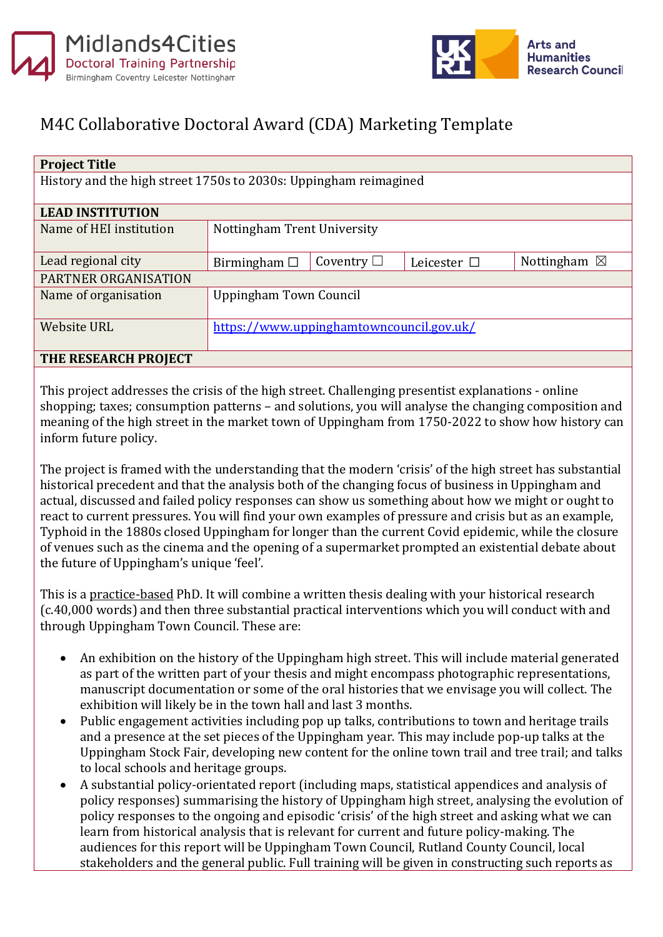



## M4C Collaborative Doctoral Award (CDA) Marketing Template

| <b>Project Title</b>                                             |                                          |                 |                  |                        |
|------------------------------------------------------------------|------------------------------------------|-----------------|------------------|------------------------|
| History and the high street 1750s to 2030s: Uppingham reimagined |                                          |                 |                  |                        |
|                                                                  |                                          |                 |                  |                        |
| <b>LEAD INSTITUTION</b>                                          |                                          |                 |                  |                        |
| Name of HEI institution                                          | Nottingham Trent University              |                 |                  |                        |
|                                                                  |                                          |                 |                  |                        |
| Lead regional city                                               | Birmingham $\Box$                        | Coventry $\Box$ | Leicester $\Box$ | Nottingham $\boxtimes$ |
| PARTNER ORGANISATION                                             |                                          |                 |                  |                        |
| Name of organisation                                             | Uppingham Town Council                   |                 |                  |                        |
|                                                                  |                                          |                 |                  |                        |
| <b>Website URL</b>                                               | https://www.uppinghamtowncouncil.gov.uk/ |                 |                  |                        |
|                                                                  |                                          |                 |                  |                        |
| THE RESEARCH PROJECT                                             |                                          |                 |                  |                        |

This project addresses the crisis of the high street. Challenging presentist explanations - online shopping; taxes; consumption patterns – and solutions, you will analyse the changing composition and meaning of the high street in the market town of Uppingham from 1750-2022 to show how history can inform future policy.

The project is framed with the understanding that the modern 'crisis' of the high street has substantial historical precedent and that the analysis both of the changing focus of business in Uppingham and actual, discussed and failed policy responses can show us something about how we might or ought to react to current pressures. You will find your own examples of pressure and crisis but as an example, Typhoid in the 1880s closed Uppingham for longer than the current Covid epidemic, while the closure of venues such as the cinema and the opening of a supermarket prompted an existential debate about the future of Uppingham's unique 'feel'.

This is a practice-based PhD. It will combine a written thesis dealing with your historical research (c.40,000 words) and then three substantial practical interventions which you will conduct with and through Uppingham Town Council. These are:

- An exhibition on the history of the Uppingham high street. This will include material generated as part of the written part of your thesis and might encompass photographic representations, manuscript documentation or some of the oral histories that we envisage you will collect. The exhibition will likely be in the town hall and last 3 months.
- Public engagement activities including pop up talks, contributions to town and heritage trails and a presence at the set pieces of the Uppingham year. This may include pop-up talks at the Uppingham Stock Fair, developing new content for the online town trail and tree trail; and talks to local schools and heritage groups.
- A substantial policy-orientated report (including maps, statistical appendices and analysis of policy responses) summarising the history of Uppingham high street, analysing the evolution of policy responses to the ongoing and episodic 'crisis' of the high street and asking what we can learn from historical analysis that is relevant for current and future policy-making. The audiences for this report will be Uppingham Town Council, Rutland County Council, local stakeholders and the general public. Full training will be given in constructing such reports as